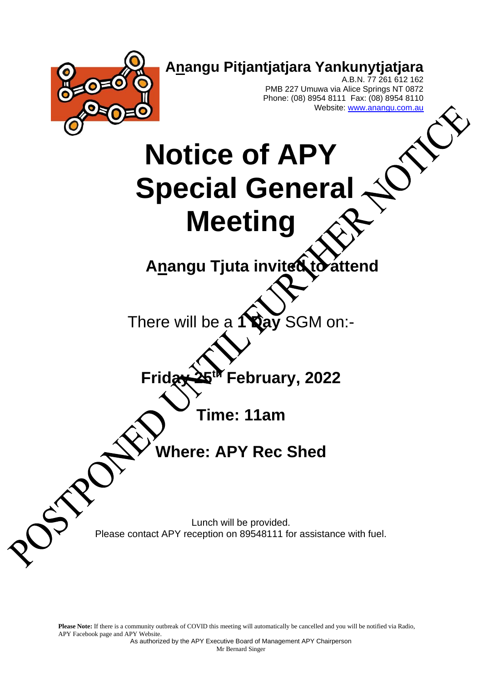

Please Note: If there is a community outbreak of COVID this meeting will automatically be cancelled and you will be notified via Radio, APY Facebook page and APY Website.